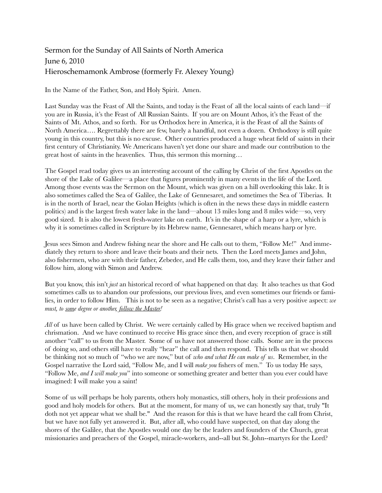## Sermon for the Sunday of All Saints of North America June 6, 2010 Hieroschemamonk Ambrose (formerly Fr. Alexey Young)

In the Name of the Father, Son, and Holy Spirit. Amen.

Last Sunday was the Feast of All the Saints, and today is the Feast of all the local saints of each land—if you are in Russia, it's the Feast of All Russian Saints. If you are on Mount Athos, it's the Feast of the Saints of Mt. Athos, and so forth. For us Orthodox here in America, it is the Feast of all the Saints of North America…. Regrettably there are few, barely a handful, not even a dozen. Orthodoxy is still quite young in this country, but this is no excuse. Other countries produced a huge wheat field of saints in their first century of Christianity. We Americans haven't yet done our share and made our contribution to the great host of saints in the heavenlies. Thus, this sermon this morning…

The Gospel read today gives us an interesting account of the calling by Christ of the first Apostles on the shore of the Lake of Galilee—a place that figures prominently in many events in the life of the Lord. Among those events was the Sermon on the Mount, which was given on a hill overlooking this lake. It is also sometimes called the Sea of Galilee, the Lake of Gennesaret, and sometimes the Sea of Tiberias. It is in the north of Israel, near the Golan Heights (which is often in the news these days in middle eastern politics) and is the largest fresh water lake in the land—about 13 miles long and 8 miles wide—so, very good sized. It is also the lowest fresh-water lake on earth. It's in the shape of a harp or a lyre, which is why it is sometimes called in Scripture by its Hebrew name, Gennesaret, which means harp or lyre.

Jesus sees Simon and Andrew fishing near the shore and He calls out to them, "Follow Me!" And immediately they return to shore and leave their boats and their nets. Then the Lord meets James and John, also fishermen, who are with their father, Zebedee, and He calls them, too, and they leave their father and follow him, along with Simon and Andrew.

But you know, this isn't *just* an historical record of what happened on that day. It also teaches us that God sometimes calls us to abandon our professions, our previous lives, and even sometimes our friends or families, in order to follow Him. This is not to be seen as a negative; Christ's call has a very positive aspect: *we must, to some degree or another, follow the Master!*

*All* of us have been called by Christ. We were certainly called by His grace when we received baptism and chrismation. And we have continued to receive His grace since then, and every reception of grace is still another "call" to us from the Master. Some of us have not answered those calls. Some are in the process of doing so, and others still have to really "hear" the call and then respond. This tells us that we should be thinking not so much of "who we are now," but of *who and what He can make of us*. Remember, in the Gospel narrative the Lord said, "Follow Me, and I will *make you* fishers of men." To us today He says, "Follow Me, *and I will make you*" into someone or something greater and better than you ever could have imagined: I will make you a saint!

Some of us will perhaps be holy parents, others holy monastics, still others, holy in their professions and good and holy models for others. But at the moment, for many of us, we can honestly say that, truly "It doth not yet appear what we shall be." And the reason for this is that we have heard the call from Christ, but we have not fully yet answered it. But, after all, who could have suspected, on that day along the shores of the Galilee, that the Apostles would one day be the leaders and founders of the Church, great missionaries and preachers of the Gospel, miracle-workers, and--all but St. John--martyrs for the Lord?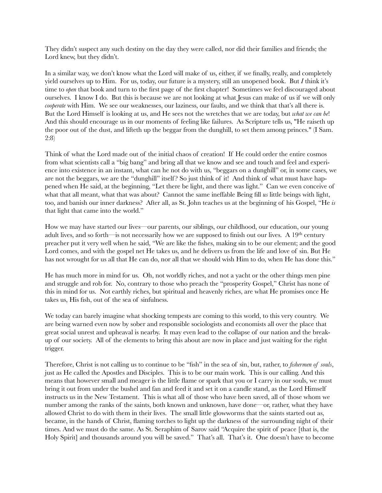They didn't suspect any such destiny on the day they were called, nor did their families and friends; the Lord knew, but they didn't.

In a similar way, we don't know what the Lord will make of us, either, if we finally, really, and completely yield ourselves up to Him. For us, today, our future is a mystery, still an unopened book. But *I* think it's time to *open* that book and turn to the first page of the first chapter! Sometimes we feel discouraged about ourselves. I know I do. But this is because we are not looking at what Jesus can make of us if we will only *cooperate* with Him. We see our weaknesses, our laziness, our faults, and we think that that's all there is. But the Lord Himself is looking at us, and He sees not the wretches that we are today, but *what we can be*! And this should encourage us in our moments of feeling like failures. As Scripture tells us, "He raiseth up the poor out of the dust, and lifteth up the beggar from the dunghill, to set them among princes." (I Sam. 2:8)

Think of what the Lord made out of the initial chaos of creation! If He could order the entire cosmos from what scientists call a "big bang" and bring all that we know and see and touch and feel and experience into existence in an instant, what can he not do with us, "beggars on a dunghill" or, in some cases, we are not the beggars, we are the "dunghill" itself? So just think of it! And think of what must have happened when He said, at the beginning, "Let there be light, and there was light." Can we even conceive of what that all meant, what that was about? Cannot the same ineffable Being fill *us* little beings with light, too, and banish our inner darkness? After all, as St. John teaches us at the beginning of his Gospel, "He *is* that light that came into the world."

How we may have started our lives—our parents, our siblings, our childhood, our education, our young adult lives, and so forth—is not necessarily how we are supposed to finish out our lives. A  $19<sup>th</sup>$  century preacher put it very well when he said, "We are like the fishes, making sin to be our element; and the good Lord comes, and with the gospel net He takes us, and he delivers us from the life and love of sin. But He has not wrought for us all that He can do, nor all that we should wish Him to do, when He has done this."

He has much more in mind for us. Oh, not worldly riches, and not a yacht or the other things men pine and struggle and rob for. No, contrary to those who preach the "prosperity Gospel," Christ has none of this in mind for us. Not earthly riches, but spiritual and heavenly riches, are what He promises once He takes us, His fish, out of the sea of sinfulness.

We today can barely imagine what shocking tempests are coming to this world, to this very country. We are being warned even now by sober and responsible sociologists and economists all over the place that great social unrest and upheaval is nearby. It may even lead to the collapse of our nation and the breakup of our society. All of the elements to bring this about are now in place and just waiting for the right trigger.

Therefore, Christ is not calling us to continue to be "fish" in the sea of sin, but, rather, to *fishermen of souls*, just as He called the Apostles and Disciples. This is to be our main work. This is our calling. And this means that however small and meager is the little flame or spark that you or I carry in our souls, we must bring it out from under the bushel and fan and feed it and set it on a candle stand, as the Lord Himself instructs us in the New Testament. This is what all of those who have been saved, all of those whom we number among the ranks of the saints, both known and unknown, have done—or, rather, what they have allowed Christ to do with them in their lives. The small little glowworms that the saints started out as, became, in the hands of Christ, flaming torches to light up the darkness of the surrounding night of their times. And we must do the same. As St. Seraphim of Sarov said "Acquire the spirit of peace [that is, the Holy Spirit] and thousands around you will be saved." That's all. That's it. One doesn't have to become